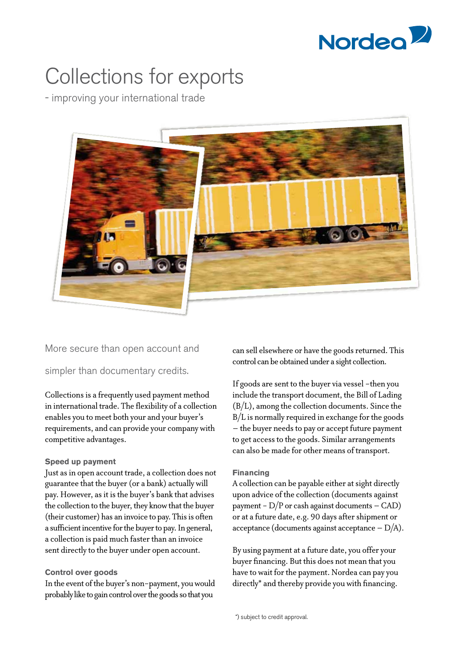

# Collections for exports

- improving your international trade



More secure than open account and

simpler than documentary credits.

Collections is a frequently used payment method in international trade. The flexibility of a collection enables you to meet both your and your buyer's requirements, and can provide your company with competitive advantages.

## **Speed up payment**

Just as in open account trade, a collection does not guarantee that the buyer (or a bank) actually will pay. However, as it is the buyer's bank that advises the collection to the buyer, they know that the buyer (their customer) has an invoice to pay. This is often a sufficient incentive for the buyer to pay. In general, a collection is paid much faster than an invoice sent directly to the buyer under open account.

## **Control over goods**

In the event of the buyer's non-payment, you would probably like to gain control over the goods so that you

can sell elsewhere or have the goods returned. This control can be obtained under a sight collection.

If goods are sent to the buyer via vessel -then you include the transport document, the Bill of Lading (B/L), among the collection documents. Since the B/L is normally required in exchange for the goods – the buyer needs to pay or accept future payment to get access to the goods. Similar arrangements can also be made for other means of transport.

#### **Financing**

A collection can be payable either at sight directly upon advice of the collection (documents against payment -  $D/P$  or cash against documents - CAD) or at a future date, e.g. 90 days after shipment or acceptance (documents against acceptance  $-D/A$ ).

By using payment at a future date, you offer your buyer financing. But this does not mean that you have to wait for the payment. Nordea can pay you directly\* and thereby provide you with financing.